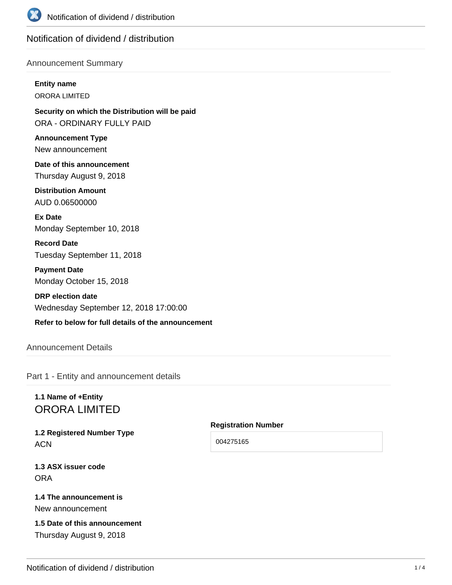

# Notification of dividend / distribution

#### Announcement Summary

## **Entity name**

ORORA LIMITED

**Security on which the Distribution will be paid** ORA - ORDINARY FULLY PAID

**Announcement Type** New announcement

**Date of this announcement** Thursday August 9, 2018

**Distribution Amount** AUD 0.06500000

**Ex Date** Monday September 10, 2018

**Record Date** Tuesday September 11, 2018

**Payment Date** Monday October 15, 2018

**DRP election date** Wednesday September 12, 2018 17:00:00

#### **Refer to below for full details of the announcement**

# Announcement Details

Part 1 - Entity and announcement details

# **1.1 Name of +Entity** ORORA LIMITED

**1.2 Registered Number Type ACN** 

**1.3 ASX issuer code** ORA

# **1.4 The announcement is**

New announcement

# **1.5 Date of this announcement** Thursday August 9, 2018

**Registration Number**

004275165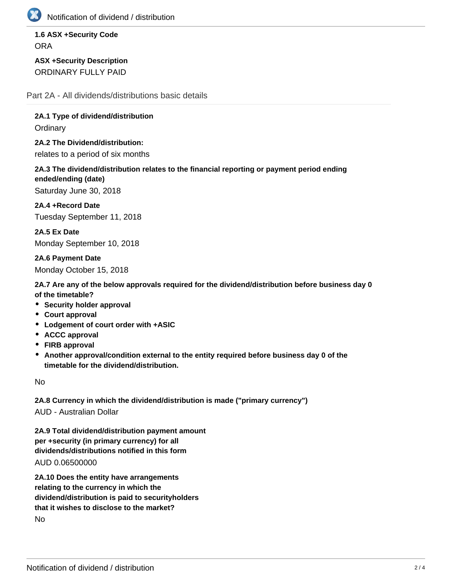

Notification of dividend / distribution

**1.6 ASX +Security Code ORA** 

**ASX +Security Description** ORDINARY FULLY PAID

Part 2A - All dividends/distributions basic details

**2A.1 Type of dividend/distribution**

**Ordinary** 

**2A.2 The Dividend/distribution:** relates to a period of six months

**2A.3 The dividend/distribution relates to the financial reporting or payment period ending ended/ending (date)**

Saturday June 30, 2018

**2A.4 +Record Date** Tuesday September 11, 2018

**2A.5 Ex Date** Monday September 10, 2018

**2A.6 Payment Date** Monday October 15, 2018

**2A.7 Are any of the below approvals required for the dividend/distribution before business day 0 of the timetable?**

- **Security holder approval**
- **Court approval**
- **Lodgement of court order with +ASIC**
- **ACCC approval**
- **FIRB approval**
- **Another approval/condition external to the entity required before business day 0 of the timetable for the dividend/distribution.**

No

**2A.8 Currency in which the dividend/distribution is made ("primary currency")** AUD - Australian Dollar

**2A.9 Total dividend/distribution payment amount per +security (in primary currency) for all dividends/distributions notified in this form** AUD 0.06500000

**2A.10 Does the entity have arrangements relating to the currency in which the dividend/distribution is paid to securityholders that it wishes to disclose to the market?** No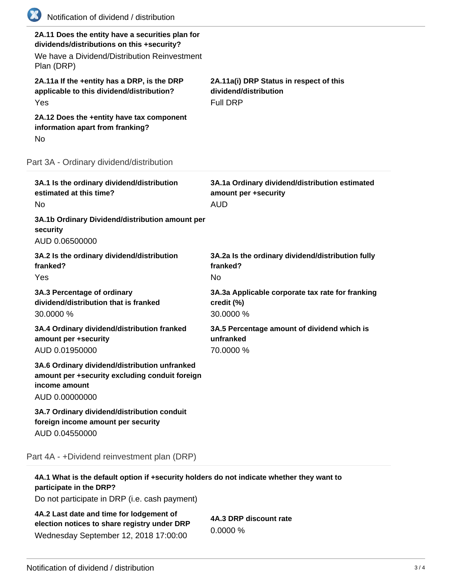| (XX)<br>Notification of dividend / distribution                                                                                                              |                                                                                      |
|--------------------------------------------------------------------------------------------------------------------------------------------------------------|--------------------------------------------------------------------------------------|
| 2A.11 Does the entity have a securities plan for<br>dividends/distributions on this +security?<br>We have a Dividend/Distribution Reinvestment<br>Plan (DRP) |                                                                                      |
| 2A.11a If the +entity has a DRP, is the DRP<br>applicable to this dividend/distribution?<br>Yes                                                              | 2A.11a(i) DRP Status in respect of this<br>dividend/distribution<br><b>Full DRP</b>  |
| 2A.12 Does the +entity have tax component<br>information apart from franking?<br>No                                                                          |                                                                                      |
| Part 3A - Ordinary dividend/distribution                                                                                                                     |                                                                                      |
| 3A.1 Is the ordinary dividend/distribution<br>estimated at this time?<br>No.                                                                                 | 3A.1a Ordinary dividend/distribution estimated<br>amount per +security<br><b>AUD</b> |
| 3A.1b Ordinary Dividend/distribution amount per<br>security<br>AUD 0.06500000                                                                                |                                                                                      |
| 3A.2 Is the ordinary dividend/distribution<br>franked?<br>Yes                                                                                                | 3A.2a Is the ordinary dividend/distribution fully<br>franked?<br><b>No</b>           |
| 3A.3 Percentage of ordinary<br>dividend/distribution that is franked<br>30.0000 %                                                                            | 3A.3a Applicable corporate tax rate for franking<br>credit (%)<br>30.0000 %          |
| 3A.4 Ordinary dividend/distribution franked<br>amount per +security<br>AUD 0.01950000                                                                        | 3A.5 Percentage amount of dividend which is<br>unfranked<br>70.0000 %                |
| 3A.6 Ordinary dividend/distribution unfranked<br>amount per +security excluding conduit foreign<br>income amount<br>AUD 0.00000000                           |                                                                                      |
| 3A.7 Ordinary dividend/distribution conduit<br>foreign income amount per security<br>AUD 0.04550000                                                          |                                                                                      |
| Part 4A - +Dividend reinvestment plan (DRP)                                                                                                                  |                                                                                      |
| 4A.1 What is the default option if +security holders do not indicate whether they want to                                                                    |                                                                                      |

| 4A.1 What is the default option if +security holders do not indicate whether they want   |                        |
|------------------------------------------------------------------------------------------|------------------------|
| participate in the DRP?                                                                  |                        |
| Do not participate in DRP (i.e. cash payment)                                            |                        |
| 4A.2 Last date and time for lodgement of<br>election notices to share registry under DRP | 4A.3 DRP discount rate |

Wednesday September 12, 2018 17:00:00

0.0000 %